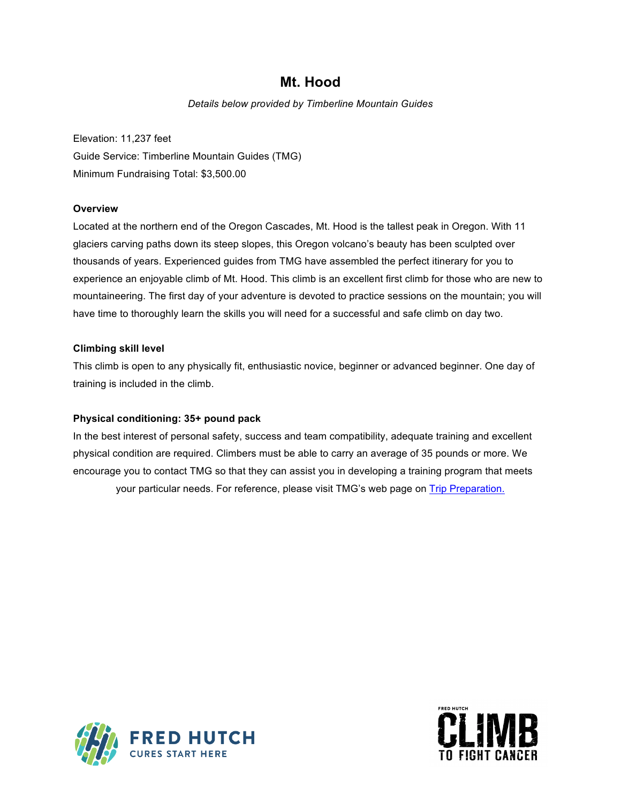# **Mt. Hood**

*Details below provided by Timberline Mountain Guides*

Elevation: 11,237 feet Guide Service: Timberline Mountain Guides (TMG) Minimum Fundraising Total: \$3,500.00

# **Overview**

Located at the northern end of the Oregon Cascades, Mt. Hood is the tallest peak in Oregon. With 11 glaciers carving paths down its steep slopes, this Oregon volcano's beauty has been sculpted over thousands of years. Experienced guides from TMG have assembled the perfect itinerary for you to experience an enjoyable climb of Mt. Hood. This climb is an excellent first climb for those who are new to mountaineering. The first day of your adventure is devoted to practice sessions on the mountain; you will have time to thoroughly learn the skills you will need for a successful and safe climb on day two.

## **Climbing skill level**

This climb is open to any physically fit, enthusiastic novice, beginner or advanced beginner. One day of training is included in the climb.

# **Physical conditioning: 35+ pound pack**

In the best interest of personal safety, success and team compatibility, adequate training and excellent physical condition are required. Climbers must be able to carry an average of 35 pounds or more. We encourage you to contact TMG so that they can assist you in developing a training program that meets your particular needs. For reference, please visit TMG's web page on Trip Preparation.



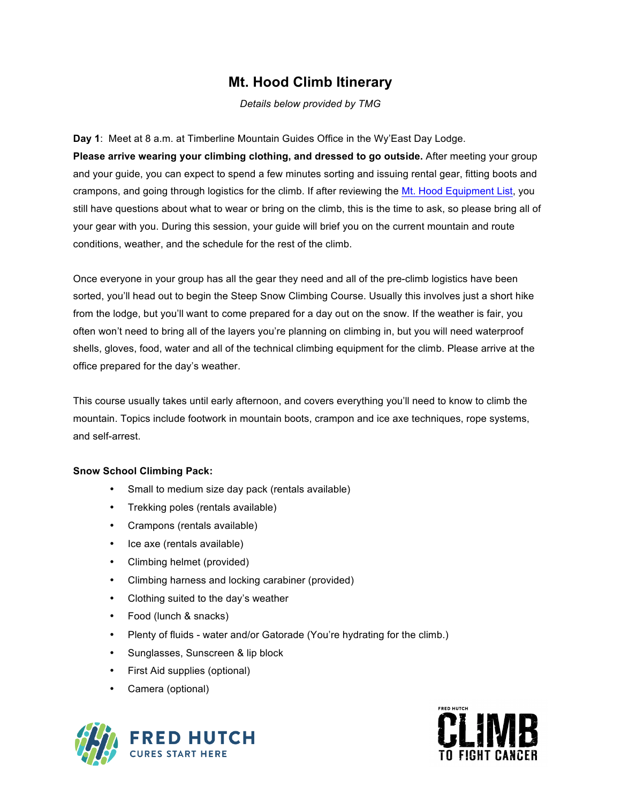# **Mt. Hood Climb Itinerary**

*Details below provided by TMG*

**Day 1**: Meet at 8 a.m. at Timberline Mountain Guides Office in the Wy'East Day Lodge. **Please arrive wearing your climbing clothing, and dressed to go outside.** After meeting your group and your guide, you can expect to spend a few minutes sorting and issuing rental gear, fitting boots and crampons, and going through logistics for the climb. If after reviewing the Mt. Hood Equipment List, you still have questions about what to wear or bring on the climb, this is the time to ask, so please bring all of your gear with you. During this session, your guide will brief you on the current mountain and route conditions, weather, and the schedule for the rest of the climb.

Once everyone in your group has all the gear they need and all of the pre-climb logistics have been sorted, you'll head out to begin the Steep Snow Climbing Course. Usually this involves just a short hike from the lodge, but you'll want to come prepared for a day out on the snow. If the weather is fair, you often won't need to bring all of the layers you're planning on climbing in, but you will need waterproof shells, gloves, food, water and all of the technical climbing equipment for the climb. Please arrive at the office prepared for the day's weather.

This course usually takes until early afternoon, and covers everything you'll need to know to climb the mountain. Topics include footwork in mountain boots, crampon and ice axe techniques, rope systems, and self-arrest.

## **Snow School Climbing Pack:**

- Small to medium size day pack (rentals available)
- Trekking poles (rentals available)
- Crampons (rentals available)
- Ice axe (rentals available)
- Climbing helmet (provided)
- Climbing harness and locking carabiner (provided)
- Clothing suited to the day's weather
- Food (lunch & snacks)
- Plenty of fluids water and/or Gatorade (You're hydrating for the climb.)
- Sunglasses, Sunscreen & lip block
- First Aid supplies (optional)
- Camera (optional)



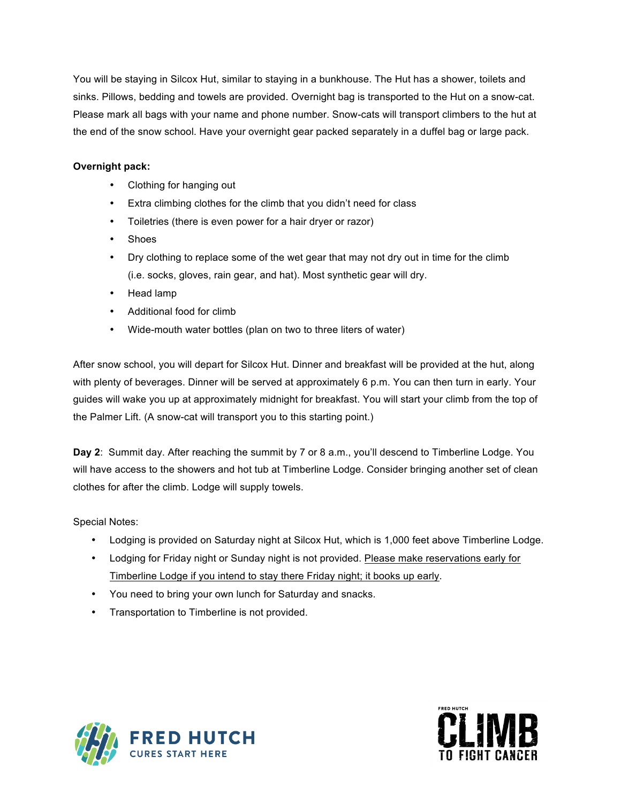You will be staying in Silcox Hut, similar to staying in a bunkhouse. The Hut has a shower, toilets and sinks. Pillows, bedding and towels are provided. Overnight bag is transported to the Hut on a snow-cat. Please mark all bags with your name and phone number. Snow-cats will transport climbers to the hut at the end of the snow school. Have your overnight gear packed separately in a duffel bag or large pack.

# **Overnight pack:**

- Clothing for hanging out
- Extra climbing clothes for the climb that you didn't need for class
- Toiletries (there is even power for a hair dryer or razor)
- Shoes
- Dry clothing to replace some of the wet gear that may not dry out in time for the climb (i.e. socks, gloves, rain gear, and hat). Most synthetic gear will dry.
- Head lamp
- Additional food for climb
- Wide-mouth water bottles (plan on two to three liters of water)

After snow school, you will depart for Silcox Hut. Dinner and breakfast will be provided at the hut, along with plenty of beverages. Dinner will be served at approximately 6 p.m. You can then turn in early. Your guides will wake you up at approximately midnight for breakfast. You will start your climb from the top of the Palmer Lift. (A snow-cat will transport you to this starting point.)

**Day 2**: Summit day. After reaching the summit by 7 or 8 a.m., you'll descend to Timberline Lodge. You will have access to the showers and hot tub at Timberline Lodge. Consider bringing another set of clean clothes for after the climb. Lodge will supply towels.

Special Notes:

- Lodging is provided on Saturday night at Silcox Hut, which is 1,000 feet above Timberline Lodge.
- Lodging for Friday night or Sunday night is not provided. Please make reservations early for Timberline Lodge if you intend to stay there Friday night; it books up early.
- You need to bring your own lunch for Saturday and snacks.
- Transportation to Timberline is not provided.



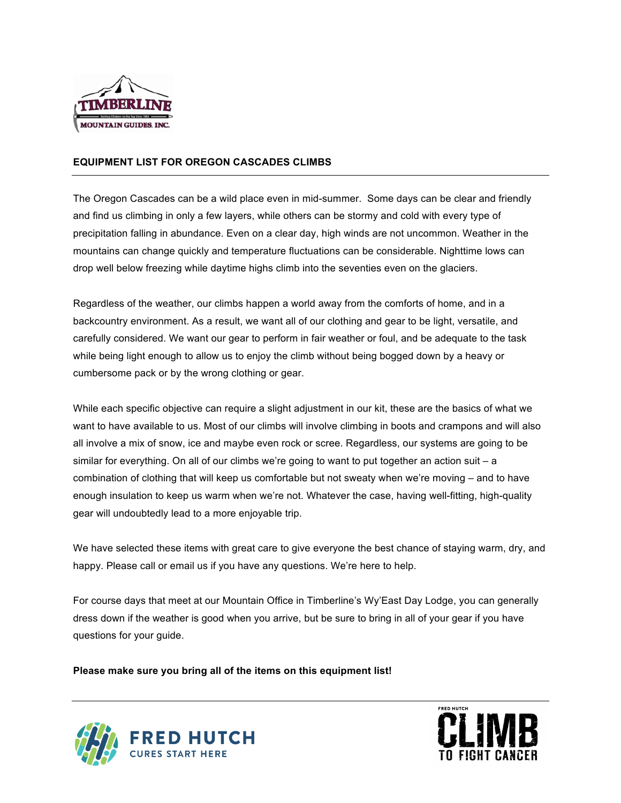

## **EQUIPMENT LIST FOR OREGON CASCADES CLIMBS**

The Oregon Cascades can be a wild place even in mid-summer. Some days can be clear and friendly and find us climbing in only a few layers, while others can be stormy and cold with every type of precipitation falling in abundance. Even on a clear day, high winds are not uncommon. Weather in the mountains can change quickly and temperature fluctuations can be considerable. Nighttime lows can drop well below freezing while daytime highs climb into the seventies even on the glaciers.

Regardless of the weather, our climbs happen a world away from the comforts of home, and in a backcountry environment. As a result, we want all of our clothing and gear to be light, versatile, and carefully considered. We want our gear to perform in fair weather or foul, and be adequate to the task while being light enough to allow us to enjoy the climb without being bogged down by a heavy or cumbersome pack or by the wrong clothing or gear.

While each specific objective can require a slight adjustment in our kit, these are the basics of what we want to have available to us. Most of our climbs will involve climbing in boots and crampons and will also all involve a mix of snow, ice and maybe even rock or scree. Regardless, our systems are going to be similar for everything. On all of our climbs we're going to want to put together an action suit – a combination of clothing that will keep us comfortable but not sweaty when we're moving – and to have enough insulation to keep us warm when we're not. Whatever the case, having well-fitting, high-quality gear will undoubtedly lead to a more enjoyable trip.

We have selected these items with great care to give everyone the best chance of staying warm, dry, and happy. Please call or email us if you have any questions. We're here to help.

For course days that meet at our Mountain Office in Timberline's Wy'East Day Lodge, you can generally dress down if the weather is good when you arrive, but be sure to bring in all of your gear if you have questions for your guide.

**Please make sure you bring all of the items on this equipment list!**



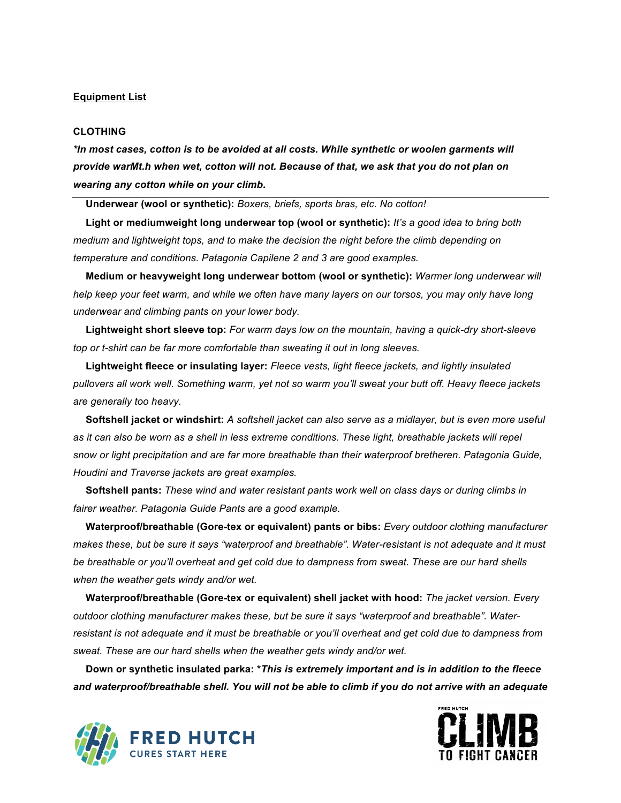## **Equipment List**

#### **CLOTHING**

*\*In most cases, cotton is to be avoided at all costs. While synthetic or woolen garments will provide warMt.h when wet, cotton will not. Because of that, we ask that you do not plan on wearing any cotton while on your climb.* 

 **Underwear (wool or synthetic):** *Boxers, briefs, sports bras, etc. No cotton!* 

 **Light or mediumweight long underwear top (wool or synthetic):** *It's a good idea to bring both medium and lightweight tops, and to make the decision the night before the climb depending on temperature and conditions. Patagonia Capilene 2 and 3 are good examples.* 

 **Medium or heavyweight long underwear bottom (wool or synthetic):** *Warmer long underwear will help keep your feet warm, and while we often have many layers on our torsos, you may only have long underwear and climbing pants on your lower body.*

 **Lightweight short sleeve top:** *For warm days low on the mountain, having a quick-dry short-sleeve top or t-shirt can be far more comfortable than sweating it out in long sleeves.*

 **Lightweight fleece or insulating layer:** *Fleece vests, light fleece jackets, and lightly insulated pullovers all work well. Something warm, yet not so warm you'll sweat your butt off. Heavy fleece jackets are generally too heavy.*

 **Softshell jacket or windshirt:** *A softshell jacket can also serve as a midlayer, but is even more useful as it can also be worn as a shell in less extreme conditions. These light, breathable jackets will repel snow or light precipitation and are far more breathable than their waterproof bretheren. Patagonia Guide, Houdini and Traverse jackets are great examples.*

 **Softshell pants:** *These wind and water resistant pants work well on class days or during climbs in fairer weather. Patagonia Guide Pants are a good example.*

 **Waterproof/breathable (Gore-tex or equivalent) pants or bibs:** *Every outdoor clothing manufacturer makes these, but be sure it says "waterproof and breathable". Water-resistant is not adequate and it must be breathable or you'll overheat and get cold due to dampness from sweat. These are our hard shells when the weather gets windy and/or wet.* 

 **Waterproof/breathable (Gore-tex or equivalent) shell jacket with hood:** *The jacket version. Every outdoor clothing manufacturer makes these, but be sure it says "waterproof and breathable". Waterresistant is not adequate and it must be breathable or you'll overheat and get cold due to dampness from sweat. These are our hard shells when the weather gets windy and/or wet.*

 **Down or synthetic insulated parka: \****This is extremely important and is in addition to the fleece and waterproof/breathable shell. You will not be able to climb if you do not arrive with an adequate* 



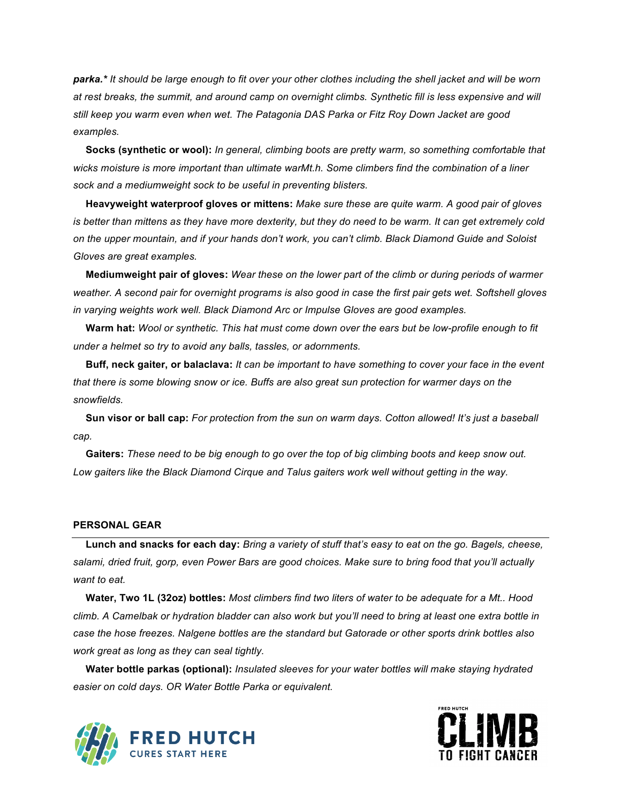*parka.\* It should be large enough to fit over your other clothes including the shell jacket and will be worn at rest breaks, the summit, and around camp on overnight climbs. Synthetic fill is less expensive and will still keep you warm even when wet. The Patagonia DAS Parka or Fitz Roy Down Jacket are good examples.* 

 **Socks (synthetic or wool):** *In general, climbing boots are pretty warm, so something comfortable that wicks moisture is more important than ultimate warMt.h. Some climbers find the combination of a liner sock and a mediumweight sock to be useful in preventing blisters.* 

 **Heavyweight waterproof gloves or mittens:** *Make sure these are quite warm. A good pair of gloves is better than mittens as they have more dexterity, but they do need to be warm. It can get extremely cold on the upper mountain, and if your hands don't work, you can't climb. Black Diamond Guide and Soloist Gloves are great examples.*

 **Mediumweight pair of gloves:** *Wear these on the lower part of the climb or during periods of warmer weather. A second pair for overnight programs is also good in case the first pair gets wet. Softshell gloves in varying weights work well. Black Diamond Arc or Impulse Gloves are good examples.* 

 **Warm hat:** *Wool or synthetic. This hat must come down over the ears but be low-profile enough to fit under a helmet so try to avoid any balls, tassles, or adornments.* 

 **Buff, neck gaiter, or balaclava:** *It can be important to have something to cover your face in the event that there is some blowing snow or ice. Buffs are also great sun protection for warmer days on the snowfields.* 

 **Sun visor or ball cap:** *For protection from the sun on warm days. Cotton allowed! It's just a baseball cap.*

 **Gaiters:** *These need to be big enough to go over the top of big climbing boots and keep snow out. Low gaiters like the Black Diamond Cirque and Talus gaiters work well without getting in the way.*

## **PERSONAL GEAR**

 **Lunch and snacks for each day:** *Bring a variety of stuff that's easy to eat on the go. Bagels, cheese, salami, dried fruit, gorp, even Power Bars are good choices. Make sure to bring food that you'll actually want to eat.*

 **Water, Two 1L (32oz) bottles:** *Most climbers find two liters of water to be adequate for a Mt.. Hood climb. A Camelbak or hydration bladder can also work but you'll need to bring at least one extra bottle in case the hose freezes. Nalgene bottles are the standard but Gatorade or other sports drink bottles also work great as long as they can seal tightly.* 

 **Water bottle parkas (optional):** *Insulated sleeves for your water bottles will make staying hydrated easier on cold days. OR Water Bottle Parka or equivalent.*



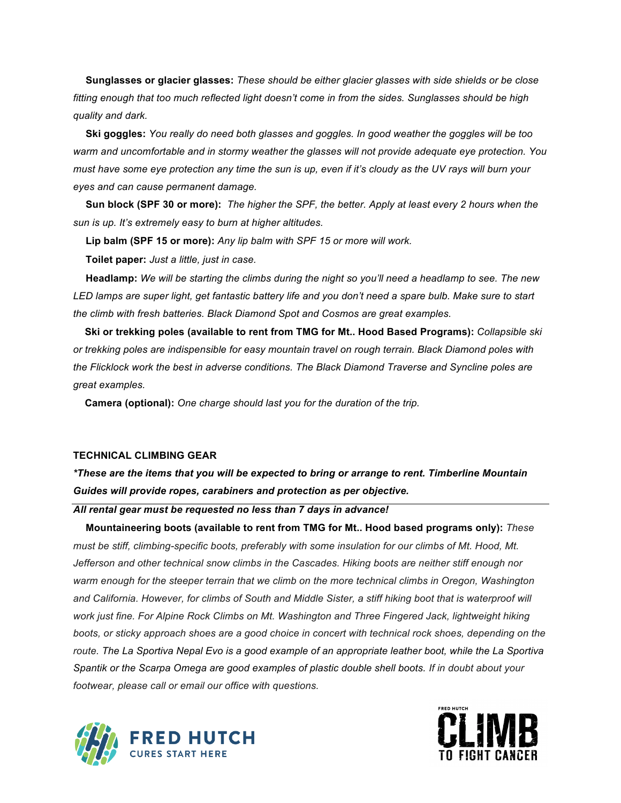**Sunglasses or glacier glasses:** *These should be either glacier glasses with side shields or be close fitting enough that too much reflected light doesn't come in from the sides. Sunglasses should be high quality and dark.* 

 **Ski goggles:** *You really do need both glasses and goggles. In good weather the goggles will be too warm and uncomfortable and in stormy weather the glasses will not provide adequate eye protection. You must have some eye protection any time the sun is up, even if it's cloudy as the UV rays will burn your eyes and can cause permanent damage.* 

 **Sun block (SPF 30 or more):** *The higher the SPF, the better. Apply at least every 2 hours when the sun is up. It's extremely easy to burn at higher altitudes.* 

 **Lip balm (SPF 15 or more):** *Any lip balm with SPF 15 or more will work.*

 **Toilet paper:** *Just a little, just in case.*

 **Headlamp:** *We will be starting the climbs during the night so you'll need a headlamp to see. The new LED lamps are super light, get fantastic battery life and you don't need a spare bulb. Make sure to start the climb with fresh batteries. Black Diamond Spot and Cosmos are great examples.*

 **Ski or trekking poles (available to rent from TMG for Mt.. Hood Based Programs):** *Collapsible ski or trekking poles are indispensible for easy mountain travel on rough terrain. Black Diamond poles with the Flicklock work the best in adverse conditions. The Black Diamond Traverse and Syncline poles are great examples.* 

**Camera (optional):** *One charge should last you for the duration of the trip.* 

#### **TECHNICAL CLIMBING GEAR**

*\*These are the items that you will be expected to bring or arrange to rent. Timberline Mountain Guides will provide ropes, carabiners and protection as per objective.*

## *All rental gear must be requested no less than 7 days in advance!*

 **Mountaineering boots (available to rent from TMG for Mt.. Hood based programs only):** *These must be stiff, climbing-specific boots, preferably with some insulation for our climbs of Mt. Hood, Mt. Jefferson and other technical snow climbs in the Cascades. Hiking boots are neither stiff enough nor*  warm enough for the steeper terrain that we climb on the more technical climbs in Oregon, Washington and California. However, for climbs of South and Middle Sister, a stiff hiking boot that is waterproof will *work just fine. For Alpine Rock Climbs on Mt. Washington and Three Fingered Jack, lightweight hiking boots, or sticky approach shoes are a good choice in concert with technical rock shoes, depending on the route. The La Sportiva Nepal Evo is a good example of an appropriate leather boot, while the La Sportiva Spantik or the Scarpa Omega are good examples of plastic double shell boots. If in doubt about your footwear, please call or email our office with questions.*